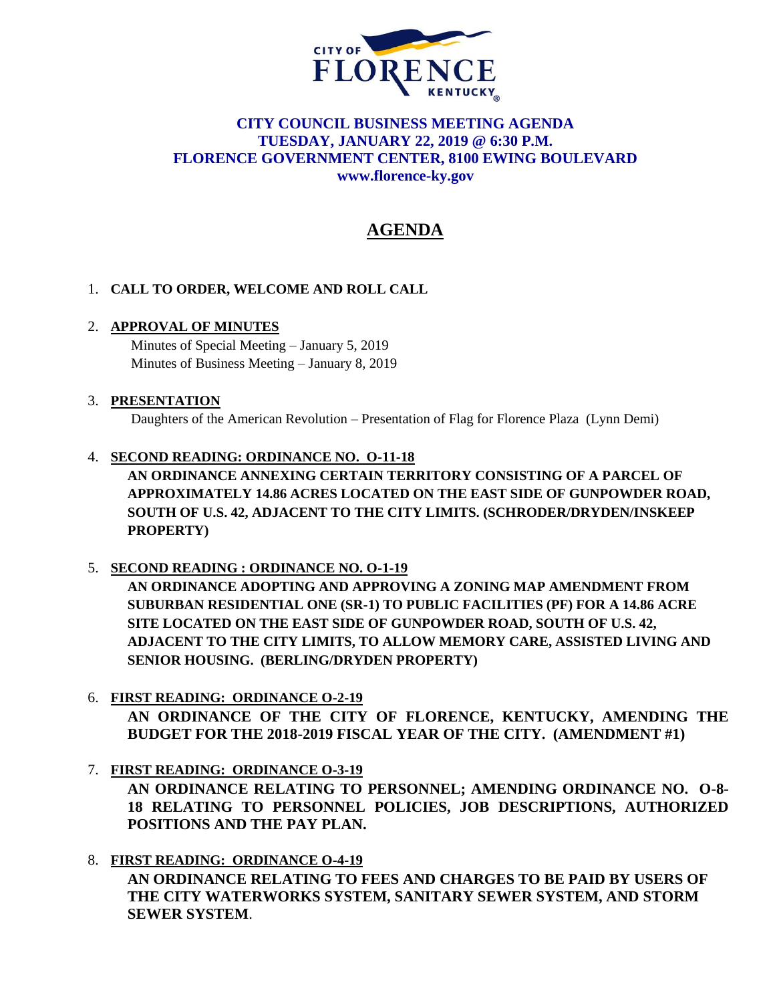

# **CITY COUNCIL BUSINESS MEETING AGENDA TUESDAY, JANUARY 22, 2019 @ 6:30 P.M. FLORENCE GOVERNMENT CENTER, 8100 EWING BOULEVARD [www.florence-ky.gov](http://www.florence-ky.gov/)**

# **AGENDA**

# 1. **CALL TO ORDER, WELCOME AND ROLL CALL**

## 2. **APPROVAL OF MINUTES**

Minutes of Special Meeting – January 5, 2019 Minutes of Business Meeting – January 8, 2019

#### 3. **PRESENTATION**

Daughters of the American Revolution – Presentation of Flag for Florence Plaza (Lynn Demi)

#### 4. **SECOND READING: ORDINANCE NO. O-11-18**

**AN ORDINANCE ANNEXING CERTAIN TERRITORY CONSISTING OF A PARCEL OF APPROXIMATELY 14.86 ACRES LOCATED ON THE EAST SIDE OF GUNPOWDER ROAD, SOUTH OF U.S. 42, ADJACENT TO THE CITY LIMITS. (SCHRODER/DRYDEN/INSKEEP PROPERTY)**

## 5. **SECOND READING : ORDINANCE NO. O-1-19**

**AN ORDINANCE ADOPTING AND APPROVING A ZONING MAP AMENDMENT FROM SUBURBAN RESIDENTIAL ONE (SR-1) TO PUBLIC FACILITIES (PF) FOR A 14.86 ACRE SITE LOCATED ON THE EAST SIDE OF GUNPOWDER ROAD, SOUTH OF U.S. 42, ADJACENT TO THE CITY LIMITS, TO ALLOW MEMORY CARE, ASSISTED LIVING AND SENIOR HOUSING. (BERLING/DRYDEN PROPERTY)**

## 6. **FIRST READING: ORDINANCE O-2-19**

**AN ORDINANCE OF THE CITY OF FLORENCE, KENTUCKY, AMENDING THE BUDGET FOR THE 2018-2019 FISCAL YEAR OF THE CITY. (AMENDMENT #1)** 

7. **FIRST READING: ORDINANCE O-3-19**

**AN ORDINANCE RELATING TO PERSONNEL; AMENDING ORDINANCE NO. O-8- 18 RELATING TO PERSONNEL POLICIES, JOB DESCRIPTIONS, AUTHORIZED POSITIONS AND THE PAY PLAN.**

8. **FIRST READING: ORDINANCE O-4-19**

**AN ORDINANCE RELATING TO FEES AND CHARGES TO BE PAID BY USERS OF THE CITY WATERWORKS SYSTEM, SANITARY SEWER SYSTEM, AND STORM SEWER SYSTEM**.